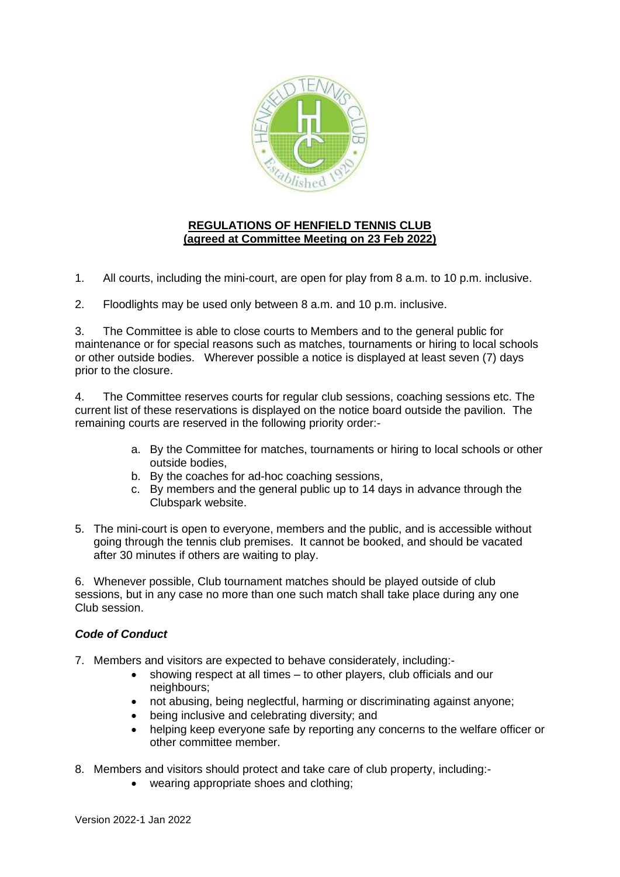

## **REGULATIONS OF HENFIELD TENNIS CLUB (agreed at Committee Meeting on 23 Feb 2022)**

1. All courts, including the mini-court, are open for play from 8 a.m. to 10 p.m. inclusive.

2. Floodlights may be used only between 8 a.m. and 10 p.m. inclusive.

3. The Committee is able to close courts to Members and to the general public for maintenance or for special reasons such as matches, tournaments or hiring to local schools or other outside bodies. Wherever possible a notice is displayed at least seven (7) days prior to the closure.

4. The Committee reserves courts for regular club sessions, coaching sessions etc. The current list of these reservations is displayed on the notice board outside the pavilion. The remaining courts are reserved in the following priority order:-

- a. By the Committee for matches, tournaments or hiring to local schools or other outside bodies,
- b. By the coaches for ad-hoc coaching sessions,
- c. By members and the general public up to 14 days in advance through the Clubspark website.
- 5. The mini-court is open to everyone, members and the public, and is accessible without going through the tennis club premises. It cannot be booked, and should be vacated after 30 minutes if others are waiting to play.

6. Whenever possible, Club tournament matches should be played outside of club sessions, but in any case no more than one such match shall take place during any one Club session.

## *Code of Conduct*

- 7. Members and visitors are expected to behave considerately, including:-
	- showing respect at all times to other players, club officials and our neighbours;
	- not abusing, being neglectful, harming or discriminating against anyone;
	- being inclusive and celebrating diversity; and
	- helping keep everyone safe by reporting any concerns to the welfare officer or other committee member.
- 8. Members and visitors should protect and take care of club property, including:-
	- wearing appropriate shoes and clothing;